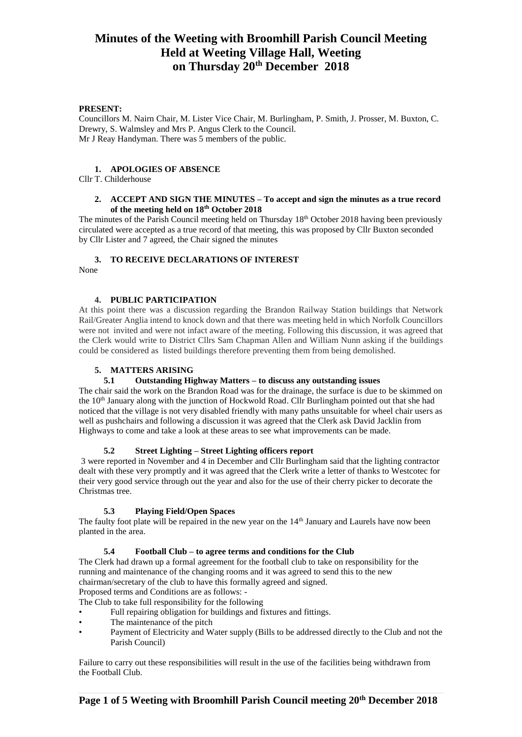#### **PRESENT:**

Councillors M. Nairn Chair, M. Lister Vice Chair, M. Burlingham, P. Smith, J. Prosser, M. Buxton, C. Drewry, S. Walmsley and Mrs P. Angus Clerk to the Council. Mr J Reay Handyman. There was 5 members of the public.

#### **1. APOLOGIES OF ABSENCE**

Cllr T. Childerhouse

### **2. ACCEPT AND SIGN THE MINUTES – To accept and sign the minutes as a true record of the meeting held on 18th October 2018**

The minutes of the Parish Council meeting held on Thursday 18<sup>th</sup> October 2018 having been previously circulated were accepted as a true record of that meeting, this was proposed by Cllr Buxton seconded by Cllr Lister and 7 agreed, the Chair signed the minutes

## **3. TO RECEIVE DECLARATIONS OF INTEREST**

None

### **4. PUBLIC PARTICIPATION**

At this point there was a discussion regarding the Brandon Railway Station buildings that Network Rail/Greater Anglia intend to knock down and that there was meeting held in which Norfolk Councillors were not invited and were not infact aware of the meeting. Following this discussion, it was agreed that the Clerk would write to District Cllrs Sam Chapman Allen and William Nunn asking if the buildings could be considered as listed buildings therefore preventing them from being demolished.

### **5. MATTERS ARISING**

## **5.1 Outstanding Highway Matters – to discuss any outstanding issues**

The chair said the work on the Brandon Road was for the drainage, the surface is due to be skimmed on the  $10<sup>th</sup>$  January along with the junction of Hockwold Road. Cllr Burlingham pointed out that she had noticed that the village is not very disabled friendly with many paths unsuitable for wheel chair users as well as pushchairs and following a discussion it was agreed that the Clerk ask David Jacklin from Highways to come and take a look at these areas to see what improvements can be made.

## **5.2 Street Lighting – Street Lighting officers report**

3 were reported in November and 4 in December and Cllr Burlingham said that the lighting contractor dealt with these very promptly and it was agreed that the Clerk write a letter of thanks to Westcotec for their very good service through out the year and also for the use of their cherry picker to decorate the Christmas tree.

## **5.3 Playing Field/Open Spaces**

The faulty foot plate will be repaired in the new year on the 14<sup>th</sup> January and Laurels have now been planted in the area.

#### **5.4 Football Club – to agree terms and conditions for the Club**

The Clerk had drawn up a formal agreement for the football club to take on responsibility for the running and maintenance of the changing rooms and it was agreed to send this to the new chairman/secretary of the club to have this formally agreed and signed. Proposed terms and Conditions are as follows: -

The Club to take full responsibility for the following

- Full repairing obligation for buildings and fixtures and fittings.
- The maintenance of the pitch
- Payment of Electricity and Water supply (Bills to be addressed directly to the Club and not the Parish Council)

Failure to carry out these responsibilities will result in the use of the facilities being withdrawn from the Football Club.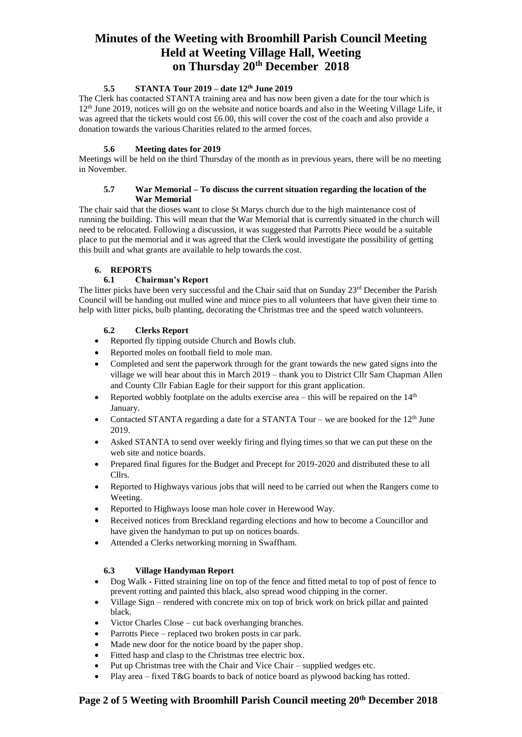#### **5.5 STANTA Tour 2019 – date 12th June 2019**

The Clerk has contacted STANTA training area and has now been given a date for the tour which is 12<sup>th</sup> June 2019, notices will go on the website and notice boards and also in the Weeting Village Life, it was agreed that the tickets would cost £6.00, this will cover the cost of the coach and also provide a donation towards the various Charities related to the armed forces.

#### **5.6 Meeting dates for 2019**

Meetings will be held on the third Thursday of the month as in previous years, there will be no meeting in November.

#### **5.7 War Memorial – To discuss the current situation regarding the location of the War Memorial**

The chair said that the dioses want to close St Marys church due to the high maintenance cost of running the building. This will mean that the War Memorial that is currently situated in the church will need to be relocated. Following a discussion, it was suggested that Parrotts Piece would be a suitable place to put the memorial and it was agreed that the Clerk would investigate the possibility of getting this built and what grants are available to help towards the cost.

#### **6. REPORTS**

#### **6.1 Chairman's Report**

The litter picks have been very successful and the Chair said that on Sunday  $23<sup>rd</sup>$  December the Parish Council will be handing out mulled wine and mince pies to all volunteers that have given their time to help with litter picks, bulb planting, decorating the Christmas tree and the speed watch volunteers.

#### **6.2 Clerks Report**

- Reported fly tipping outside Church and Bowls club.
- Reported moles on football field to mole man.
- Completed and sent the paperwork through for the grant towards the new gated signs into the village we will hear about this in March 2019 – thank you to District Cllr Sam Chapman Allen and County Cllr Fabian Eagle for their support for this grant application.
- Reported wobbly footplate on the adults exercise area this will be repaired on the  $14<sup>th</sup>$ January.
- Contacted STANTA regarding a date for a STANTA Tour we are booked for the  $12<sup>th</sup>$  June 2019.
- Asked STANTA to send over weekly firing and flying times so that we can put these on the web site and notice boards.
- Prepared final figures for the Budget and Precept for 2019-2020 and distributed these to all Cllrs.
- Reported to Highways various jobs that will need to be carried out when the Rangers come to Weeting.
- Reported to Highways loose man hole cover in Herewood Way.
- Received notices from Breckland regarding elections and how to become a Councillor and have given the handyman to put up on notices boards.
- Attended a Clerks networking morning in Swaffham.

#### **6.3 Village Handyman Report**

- Dog Walk Fitted straining line on top of the fence and fitted metal to top of post of fence to prevent rotting and painted this black, also spread wood chipping in the corner.
- Village Sign rendered with concrete mix on top of brick work on brick pillar and painted black.
- Victor Charles Close cut back overhanging branches.
- Parrotts Piece replaced two broken posts in car park.
- Made new door for the notice board by the paper shop.
- Fitted hasp and clasp to the Christmas tree electric box.
- Put up Christmas tree with the Chair and Vice Chair supplied wedges etc.
- Play area fixed T&G boards to back of notice board as plywood backing has rotted.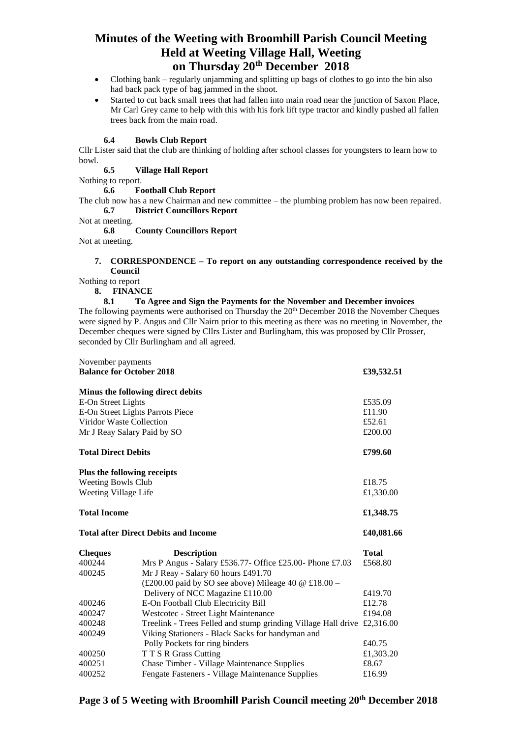- Clothing bank regularly unjamming and splitting up bags of clothes to go into the bin also had back pack type of bag jammed in the shoot.
- Started to cut back small trees that had fallen into main road near the junction of Saxon Place, Mr Carl Grey came to help with this with his fork lift type tractor and kindly pushed all fallen trees back from the main road.

#### **6.4 Bowls Club Report**

Cllr Lister said that the club are thinking of holding after school classes for youngsters to learn how to bowl.

**6.5 Village Hall Report**

Nothing to report.

**6.6 Football Club Report**

The club now has a new Chairman and new committee – the plumbing problem has now been repaired. **6.7 District Councillors Report**

Not at meeting.

**6.8 County Councillors Report**

Not at meeting.

#### **7. CORRESPONDENCE – To report on any outstanding correspondence received by the Council**

Nothing to report

**8. FINANCE**

#### **8.1 To Agree and Sign the Payments for the November and December invoices**

The following payments were authorised on Thursday the 20<sup>th</sup> December 2018 the November Cheques were signed by P. Angus and Cllr Nairn prior to this meeting as there was no meeting in November, the December cheques were signed by Cllrs Lister and Burlingham, this was proposed by Cllr Prosser, seconded by Cllr Burlingham and all agreed.

| November payments<br><b>Balance for October 2018</b> |                                                                                                 | £39,532.51      |
|------------------------------------------------------|-------------------------------------------------------------------------------------------------|-----------------|
|                                                      | Minus the following direct debits                                                               |                 |
| E-On Street Lights                                   |                                                                                                 | £535.09         |
| E-On Street Lights Parrots Piece                     |                                                                                                 | £11.90          |
| Viridor Waste Collection                             |                                                                                                 |                 |
| Mr J Reay Salary Paid by SO                          |                                                                                                 |                 |
| <b>Total Direct Debits</b>                           |                                                                                                 | £799.60         |
| Plus the following receipts                          |                                                                                                 |                 |
| <b>Weeting Bowls Club</b>                            |                                                                                                 |                 |
| Weeting Village Life                                 |                                                                                                 | £1,330.00       |
| <b>Total Income</b>                                  |                                                                                                 | £1,348.75       |
| <b>Total after Direct Debits and Income</b>          |                                                                                                 | £40,081.66      |
| <b>Cheques</b>                                       | <b>Description</b>                                                                              | <b>Total</b>    |
| 400244                                               | Mrs P Angus - Salary £536.77- Office £25.00- Phone £7.03                                        | £568.80         |
| 400245                                               | Mr J Reay - Salary 60 hours £491.70                                                             |                 |
|                                                      | (£200.00 paid by SO see above) Mileage 40 $\omega$ £18.00 –                                     |                 |
|                                                      | Delivery of NCC Magazine £110.00                                                                | £419.70         |
| 400246                                               | E-On Football Club Electricity Bill                                                             | £12.78          |
| 400247                                               | Westcotec - Street Light Maintenance                                                            | £194.08         |
| 400248                                               | Treelink - Trees Felled and stump grinding Village Hall drive £2,316.00                         |                 |
| 400249                                               | Viking Stationers - Black Sacks for handyman and                                                |                 |
|                                                      | Polly Pockets for ring binders                                                                  | £40.75          |
| 400250                                               | T T S R Grass Cutting                                                                           | £1,303.20       |
| 400251<br>400252                                     | Chase Timber - Village Maintenance Supplies<br>Fengate Fasteners - Village Maintenance Supplies | £8.67<br>£16.99 |
|                                                      |                                                                                                 |                 |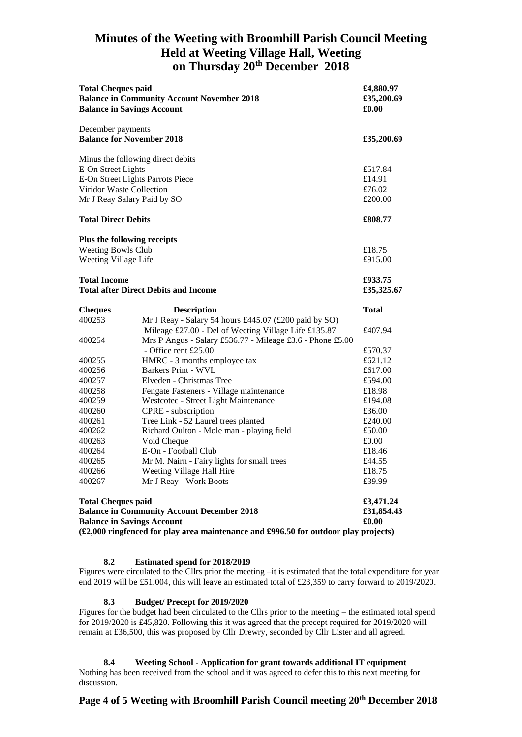| <b>Total Cheques paid</b><br><b>Balance in Community Account November 2018</b><br><b>Balance in Savings Account</b>                                                                                        |                                                                                                                                                                            | £4,880.97<br>£35,200.69<br>£0.00       |
|------------------------------------------------------------------------------------------------------------------------------------------------------------------------------------------------------------|----------------------------------------------------------------------------------------------------------------------------------------------------------------------------|----------------------------------------|
| December payments<br><b>Balance for November 2018</b>                                                                                                                                                      |                                                                                                                                                                            | £35,200.69                             |
| Minus the following direct debits<br>E-On Street Lights<br>E-On Street Lights Parrots Piece<br>Viridor Waste Collection<br>Mr J Reay Salary Paid by SO                                                     |                                                                                                                                                                            | £517.84<br>£14.91<br>£76.02<br>£200.00 |
| <b>Total Direct Debits</b>                                                                                                                                                                                 |                                                                                                                                                                            | £808.77                                |
| Plus the following receipts<br>Weeting Bowls Club<br>Weeting Village Life                                                                                                                                  |                                                                                                                                                                            | £18.75<br>£915.00                      |
| <b>Total Income</b><br><b>Total after Direct Debits and Income</b>                                                                                                                                         |                                                                                                                                                                            | £933.75<br>£35,325.67                  |
| <b>Cheques</b>                                                                                                                                                                                             | <b>Description</b>                                                                                                                                                         | <b>Total</b>                           |
| 400253<br>400254                                                                                                                                                                                           | Mr J Reay - Salary 54 hours £445.07 (£200 paid by SO)<br>Mileage £27.00 - Del of Weeting Village Life £135.87<br>Mrs P Angus - Salary £536.77 - Mileage £3.6 - Phone £5.00 | £407.94                                |
| 400255<br>400256                                                                                                                                                                                           | - Office rent £25.00<br>HMRC - 3 months employee tax<br>Barkers Print - WVL                                                                                                | £570.37<br>£621.12<br>£617.00          |
| 400257<br>400258<br>400259                                                                                                                                                                                 | Elveden - Christmas Tree<br>Fengate Fasteners - Village maintenance<br>Westcotec - Street Light Maintenance                                                                | £594.00<br>£18.98<br>£194.08           |
| 400260<br>400261                                                                                                                                                                                           | CPRE - subscription<br>Tree Link - 52 Laurel trees planted                                                                                                                 | £36.00<br>£240.00                      |
| 400262<br>400263<br>400264                                                                                                                                                                                 | Richard Oulton - Mole man - playing field<br>Void Cheque<br>E-On - Football Club                                                                                           | £50.00<br>£0.00<br>£18.46              |
| 400265<br>400266<br>400267                                                                                                                                                                                 | Mr M. Nairn - Fairy lights for small trees<br>Weeting Village Hall Hire<br>Mr J Reay - Work Boots                                                                          | £44.55<br>£18.75<br>£39.99             |
| <b>Total Cheques paid</b><br><b>Balance in Community Account December 2018</b><br><b>Balance in Savings Account</b><br>(£2,000 ringfenced for play area maintenance and £996.50 for outdoor play projects) |                                                                                                                                                                            |                                        |

## **8.2 Estimated spend for 2018/2019**

Figures were circulated to the Cllrs prior the meeting –it is estimated that the total expenditure for year end 2019 will be £51.004, this will leave an estimated total of £23,359 to carry forward to 2019/2020.

#### **8.3 Budget/ Precept for 2019/2020**

Figures for the budget had been circulated to the Cllrs prior to the meeting – the estimated total spend for 2019/2020 is £45,820. Following this it was agreed that the precept required for 2019/2020 will remain at £36,500, this was proposed by Cllr Drewry, seconded by Cllr Lister and all agreed.

**8.4 Weeting School - Application for grant towards additional IT equipment** Nothing has been received from the school and it was agreed to defer this to this next meeting for discussion.